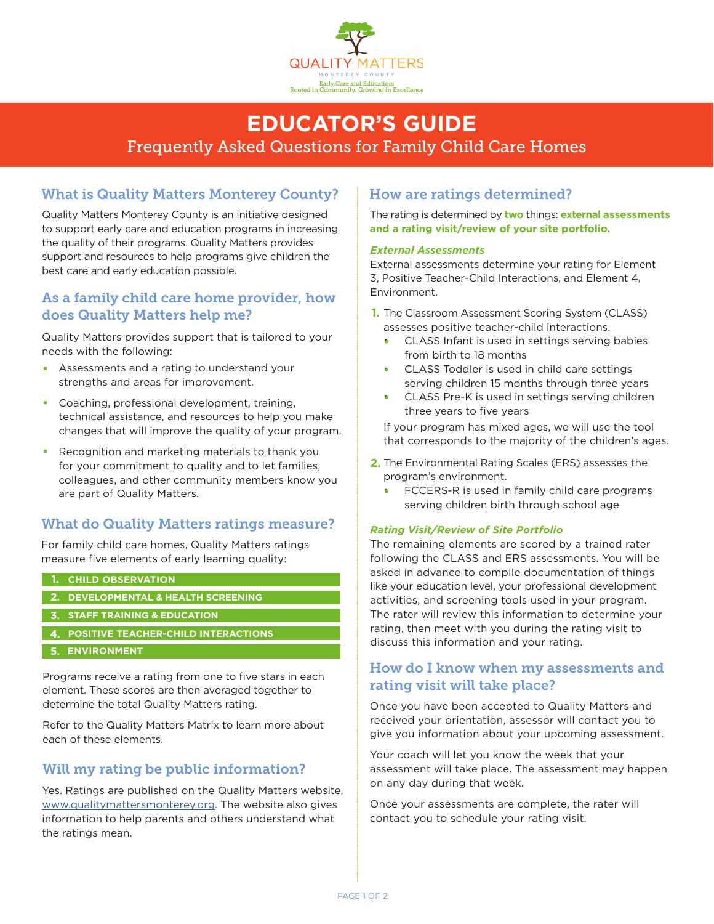

# **EDUCATOR'S GUIDE** Frequently Asked Questions for Family Child Care Homes

## What is Quality Matters Monterey County?

Quality Matters Monterey County is an initiative designed to support early care and education programs in increasing the quality of their programs. Quality Matters provides support and resources to help programs give children the best care and early education possible.

### As a family child care home provider, how does Quality Matters help me?

Quality Matters provides support that is tailored to your needs with the following:

- Assessments and a rating to understand your strengths and areas for improvement.
- Coaching, professional development, training, technical assistance, and resources to help you make changes that will improve the quality of your program.
- Recognition and marketing materials to thank you for your commitment to quality and to let families, colleagues, and other community members know you are part of Quality Matters.

### What do Quality Matters ratings measure?

For family child care homes, Quality Matters ratings measure five elements of early learning quality:

- 1. CHILD OBSERVATION
- **DEVELOPMENTAL & HEALTH SCREENING 2.**
- **STAFF TRAINING & EDUCATION 3.**
- **POSITIVE TEACHER-CHILD INTERACTIONS 4.**
- **ENVIRONMENT 5.**

Programs receive a rating from one to five stars in each element. These scores are then averaged together to determine the total Quality Matters rating.

Refer to the Quality Matters Matrix to learn more about each of these elements.

### Will my rating be public information?

Yes. Ratings are published on the Quality Matters website, www.qualitymattersmonterey.org. The website also gives information to help parents and others understand what the ratings mean.

### How are ratings determined?

The rating is determined by **two** things: **external assessments and a rating visit/review of your site portfolio.** 

#### *External Assessments*

External assessments determine your rating for Element 3, Positive Teacher-Child Interactions, and Element 4, Environment.

- **1.** The Classroom Assessment Scoring System (CLASS) assesses positive teacher-child interactions.
	- CLASS Infant is used in settings serving babies from birth to 18 months
	- CLASS Toddler is used in child care settings serving children 15 months through three years
	- CLASS Pre-K is used in settings serving children three years to five years

If your program has mixed ages, we will use the tool that corresponds to the majority of the children's ages.

- **2.** The Environmental Rating Scales (ERS) assesses the program's environment.
	- FCCERS-R is used in family child care programs serving children birth through school age

#### *Rating Visit/Review of Site Portfolio*

The remaining elements are scored by a trained rater following the CLASS and ERS assessments. You will be asked in advance to compile documentation of things like your education level, your professional development activities, and screening tools used in your program. The rater will review this information to determine your rating, then meet with you during the rating visit to discuss this information and your rating.

### How do I know when my assessments and rating visit will take place?

Once you have been accepted to Quality Matters and received your orientation, assessor will contact you to give you information about your upcoming assessment.

Your coach will let you know the week that your assessment will take place. The assessment may happen on any day during that week.

Once your assessments are complete, the rater will contact you to schedule your rating visit.